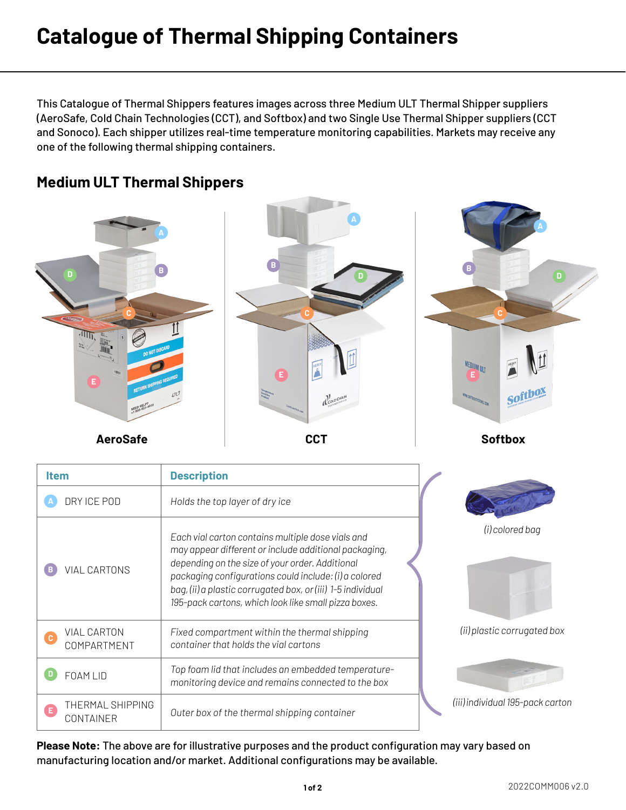## **Catalogue of Thermal Shipping Containers**

This Catalogue of Thermal Shippers features images across three Medium ULT Thermal Shipper suppliers (AeroSafe, Cold Chain Technologies (CCT), and Softbox) and two Single Use Thermal Shipper suppliers (CCT and Sonoco). Each shipper utilizes real-time temperature monitoring capabilities. Markets may receive any one of the following thermal shipping containers.





**Please Note:** The above are for illustrative purposes and the product configuration may vary based on manufacturing location and/or market. Additional configurations may be available.